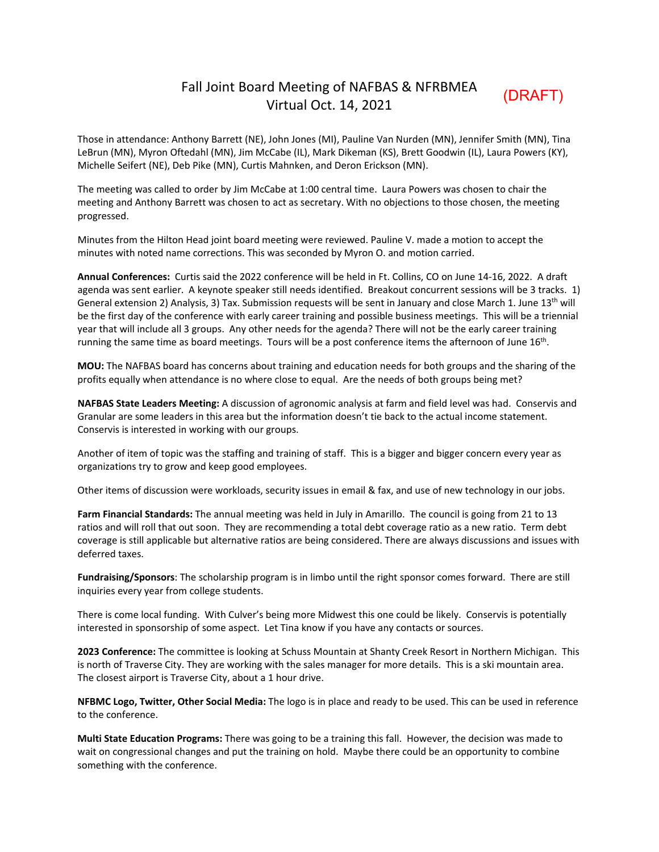## Fall Joint Board Meeting of NAFBAS & NFRBMEA Virtual Oct. 14, 2021

(DRAFT)

Those in attendance: Anthony Barrett (NE), John Jones (MI), Pauline Van Nurden (MN), Jennifer Smith (MN), Tina LeBrun (MN), Myron Oftedahl (MN), Jim McCabe (IL), Mark Dikeman (KS), Brett Goodwin (IL), Laura Powers (KY), Michelle Seifert (NE), Deb Pike (MN), Curtis Mahnken, and Deron Erickson (MN).

The meeting was called to order by Jim McCabe at 1:00 central time. Laura Powers was chosen to chair the meeting and Anthony Barrett was chosen to act as secretary. With no objections to those chosen, the meeting progressed.

Minutes from the Hilton Head joint board meeting were reviewed. Pauline V. made a motion to accept the minutes with noted name corrections. This was seconded by Myron O. and motion carried.

**Annual Conferences:** Curtis said the 2022 conference will be held in Ft. Collins, CO on June 14‐16, 2022. A draft agenda was sent earlier. A keynote speaker still needs identified. Breakout concurrent sessions will be 3 tracks. 1) General extension 2) Analysis, 3) Tax. Submission requests will be sent in January and close March 1. June  $13<sup>th</sup>$  will be the first day of the conference with early career training and possible business meetings. This will be a triennial year that will include all 3 groups. Any other needs for the agenda? There will not be the early career training running the same time as board meetings. Tours will be a post conference items the afternoon of June 16<sup>th</sup>.

**MOU:** The NAFBAS board has concerns about training and education needs for both groups and the sharing of the profits equally when attendance is no where close to equal. Are the needs of both groups being met?

**NAFBAS State Leaders Meeting:** A discussion of agronomic analysis at farm and field level was had. Conservis and Granular are some leaders in this area but the information doesn't tie back to the actual income statement. Conservis is interested in working with our groups.

Another of item of topic was the staffing and training of staff. This is a bigger and bigger concern every year as organizations try to grow and keep good employees.

Other items of discussion were workloads, security issues in email & fax, and use of new technology in our jobs.

**Farm Financial Standards:** The annual meeting was held in July in Amarillo. The council is going from 21 to 13 ratios and will roll that out soon. They are recommending a total debt coverage ratio as a new ratio. Term debt coverage is still applicable but alternative ratios are being considered. There are always discussions and issues with deferred taxes.

**Fundraising/Sponsors**: The scholarship program is in limbo until the right sponsor comes forward. There are still inquiries every year from college students.

There is come local funding. With Culver's being more Midwest this one could be likely. Conservis is potentially interested in sponsorship of some aspect. Let Tina know if you have any contacts or sources.

**2023 Conference:** The committee is looking at Schuss Mountain at Shanty Creek Resort in Northern Michigan. This is north of Traverse City. They are working with the sales manager for more details. This is a ski mountain area. The closest airport is Traverse City, about a 1 hour drive.

**NFBMC Logo, Twitter, Other Social Media:** The logo is in place and ready to be used. This can be used in reference to the conference.

**Multi State Education Programs:** There was going to be a training this fall. However, the decision was made to wait on congressional changes and put the training on hold. Maybe there could be an opportunity to combine something with the conference.